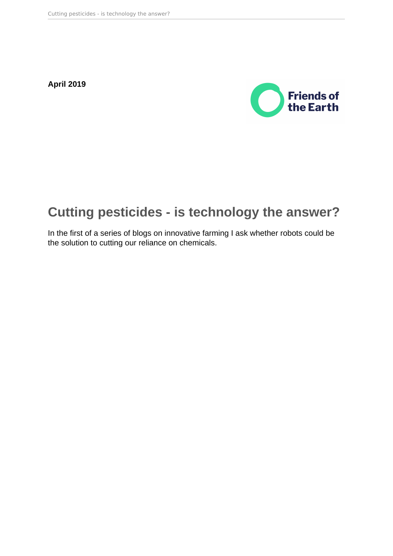**April 2019**



# **Cutting pesticides - is technology the answer?**

In the first of a series of blogs on innovative farming I ask whether robots could be the solution to cutting our reliance on chemicals.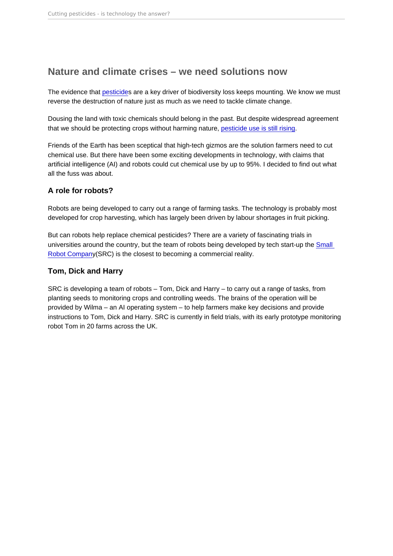# Nature and climate crises – we need solutions now

The evidence that [pesticide](https://policy.friendsoftheearth.uk/opinion/insectageddon-whats-happening-bees-and-other-insects)s are a key driver of biodiversity loss keeps mounting. We know we must reverse the destruction of nature just as much as we need to tackle climate change.

Dousing the land with toxic chemicals should belong in the past. But despite widespread agreement that we should be protecting crops without harming nature, [pesticide use is still rising](https://policy.friendsoftheearth.uk/insight/theres-something-wrong-countryside-rising-pesticide-use-uk).

Friends of the Earth has been sceptical that high-tech gizmos are the solution farmers need to cut chemical use. But there have been some exciting developments in technology, with claims that artificial intelligence (AI) and robots could cut chemical use by up to 95%. I decided to find out what all the fuss was about.

#### A role for robots?

Robots are being developed to carry out a range of farming tasks. The technology is probably most developed for crop harvesting, which has largely been driven by labour shortages in fruit picking.

But can robots help replace chemical pesticides? There are a variety of fascinating trials in universities around the country, but the team of robots being developed by tech start-up the [Small](https://www.smallrobotcompany.com/)  [Robot Company](https://www.smallrobotcompany.com/)(SRC) is the closest to becoming a commercial reality.

#### Tom, Dick and Harry

SRC is developing a team of robots – Tom, Dick and Harry – to carry out a range of tasks, from planting seeds to monitoring crops and controlling weeds. The brains of the operation will be provided by Wilma – an AI operating system – to help farmers make key decisions and provide instructions to Tom, Dick and Harry. SRC is currently in field trials, with its early prototype monitoring robot Tom in 20 farms across the UK.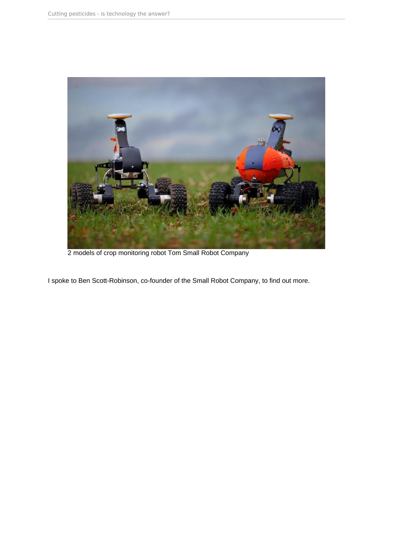

2 models of crop monitoring robot Tom Small Robot Company

I spoke to Ben Scott-Robinson, co-founder of the Small Robot Company, to find out more.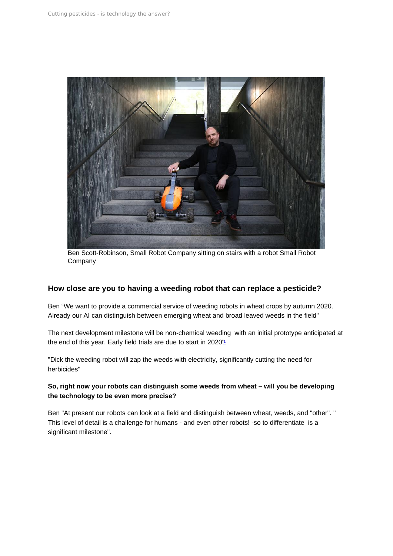<span id="page-3-0"></span>Ben Scott-Robinson, Small Robot Company sitting on stairs with a robot Small Robot Company

How close are you to having a weeding robot that can replace a pesticide?

Ben "We want to provide a commercial service of weeding robots in wheat crops by autumn 2020. Already our AI can distinguish between emerging wheat and broad leaved weeds in the field"

The next development milestone will be non-chemical weeding with an initial prototype anticipated at the end of this year. Early field trials are due to start in 2020"

"Dick the weeding robot will zap the weeds with electricity, significantly cutting the need for herbicides"

So, right now your robots can distinguish some weeds from wheat – will you be developing the technology to be even more precise?

Ben "At present our robots can look at a field and distinguish between wheat, weeds, and "other". " This level of detail is a challenge for humans - and even other robots! -so to differentiate is a significant milestone".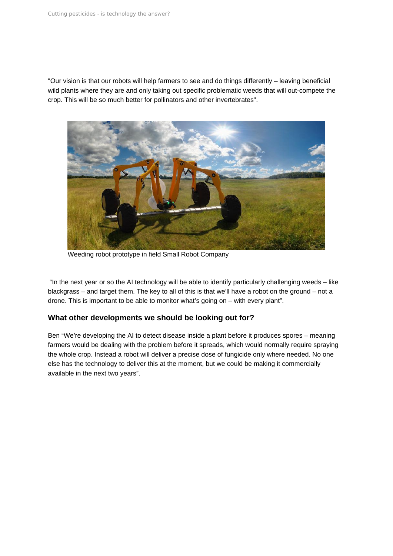"Our vision is that our robots will help farmers to see and do things differently – leaving beneficial wild plants where they are and only taking out specific problematic weeds that will out-compete the crop. This will be so much better for pollinators and other invertebrates".



Weeding robot prototype in field Small Robot Company

 "In the next year or so the AI technology will be able to identify particularly challenging weeds – like blackgrass – and target them. The key to all of this is that we'll have a robot on the ground – not a drone. This is important to be able to monitor what's going on – with every plant".

#### **What other developments we should be looking out for?**

Ben "We're developing the AI to detect disease inside a plant before it produces spores – meaning farmers would be dealing with the problem before it spreads, which would normally require spraying the whole crop. Instead a robot will deliver a precise dose of fungicide only where needed. No one else has the technology to deliver this at the moment, but we could be making it commercially available in the next two years".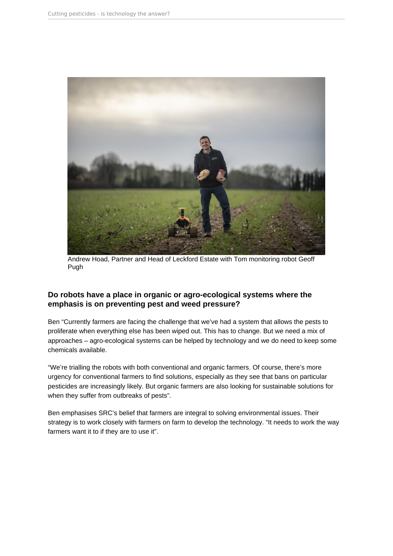

Andrew Hoad, Partner and Head of Leckford Estate with Tom monitoring robot Geoff Pugh

## **Do robots have a place in organic or agro-ecological systems where the emphasis is on preventing pest and weed pressure?**

Ben "Currently farmers are facing the challenge that we've had a system that allows the pests to proliferate when everything else has been wiped out. This has to change. But we need a mix of approaches – agro-ecological systems can be helped by technology and we do need to keep some chemicals available.

"We're trialling the robots with both conventional and organic farmers. Of course, there's more urgency for conventional farmers to find solutions, especially as they see that bans on particular pesticides are increasingly likely. But organic farmers are also looking for sustainable solutions for when they suffer from outbreaks of pests".

Ben emphasises SRC's belief that farmers are integral to solving environmental issues. Their strategy is to work closely with farmers on farm to develop the technology. "It needs to work the way farmers want it to if they are to use it".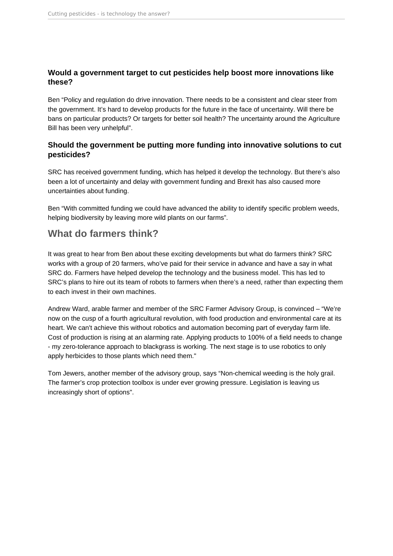## **Would a government target to cut pesticides help boost more innovations like these?**

Ben "Policy and regulation do drive innovation. There needs to be a consistent and clear steer from the government. It's hard to develop products for the future in the face of uncertainty. Will there be bans on particular products? Or targets for better soil health? The uncertainty around the Agriculture Bill has been very unhelpful".

## **Should the government be putting more funding into innovative solutions to cut pesticides?**

SRC has received government funding, which has helped it develop the technology. But there's also been a lot of uncertainty and delay with government funding and Brexit has also caused more uncertainties about funding.

Ben "With committed funding we could have advanced the ability to identify specific problem weeds, helping biodiversity by leaving more wild plants on our farms".

# **What do farmers think?**

It was great to hear from Ben about these exciting developments but what do farmers think? SRC works with a group of 20 farmers, who've paid for their service in advance and have a say in what SRC do. Farmers have helped develop the technology and the business model. This has led to SRC's plans to hire out its team of robots to farmers when there's a need, rather than expecting them to each invest in their own machines.

Andrew Ward, arable farmer and member of the SRC Farmer Advisory Group, is convinced – "We're now on the cusp of a fourth agricultural revolution, with food production and environmental care at its heart. We can't achieve this without robotics and automation becoming part of everyday farm life. Cost of production is rising at an alarming rate. Applying products to 100% of a field needs to change - my zero-tolerance approach to blackgrass is working. The next stage is to use robotics to only apply herbicides to those plants which need them."

Tom Jewers, another member of the advisory group, says "Non-chemical weeding is the holy grail. The farmer's crop protection toolbox is under ever growing pressure. Legislation is leaving us increasingly short of options".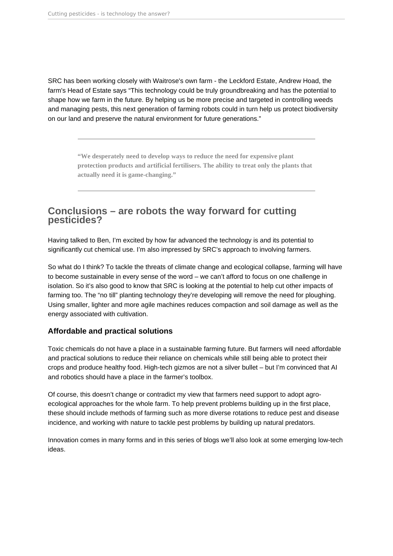SRC has been working closely with Waitrose's own farm - the Leckford Estate, Andrew Hoad, the farm's Head of Estate says "This technology could be truly groundbreaking and has the potential to shape how we farm in the future. By helping us be more precise and targeted in controlling weeds and managing pests, this next generation of farming robots could in turn help us protect biodiversity on our land and preserve the natural environment for future generations."

> **"We desperately need to develop ways to reduce the need for expensive plant protection products and artificial fertilisers. The ability to treat only the plants that actually need it is game-changing."**

# **Conclusions – are robots the way forward for cutting pesticides?**

Having talked to Ben, I'm excited by how far advanced the technology is and its potential to significantly cut chemical use. I'm also impressed by SRC's approach to involving farmers.

So what do I think? To tackle the threats of climate change and ecological collapse, farming will have to become sustainable in every sense of the word – we can't afford to focus on one challenge in isolation. So it's also good to know that SRC is looking at the potential to help cut other impacts of farming too. The "no till" planting technology they're developing will remove the need for ploughing. Using smaller, lighter and more agile machines reduces compaction and soil damage as well as the energy associated with cultivation.

## **Affordable and practical solutions**

Toxic chemicals do not have a place in a sustainable farming future. But farmers will need affordable and practical solutions to reduce their reliance on chemicals while still being able to protect their crops and produce healthy food. High-tech gizmos are not a silver bullet – but I'm convinced that AI and robotics should have a place in the farmer's toolbox.

Of course, this doesn't change or contradict my view that farmers need support to adopt agroecological approaches for the whole farm. To help prevent problems building up in the first place, these should include methods of farming such as more diverse rotations to reduce pest and disease incidence, and working with nature to tackle pest problems by building up natural predators.

Innovation comes in many forms and in this series of blogs we'll also look at some emerging low-tech ideas.